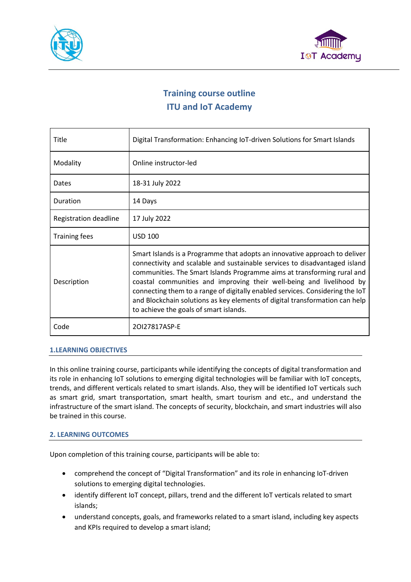



# **Training course outline ITU and IoT Academy**

| Title                 | Digital Transformation: Enhancing IoT-driven Solutions for Smart Islands                                                                                                                                                                                                                                                                                                                                                                                                                                              |
|-----------------------|-----------------------------------------------------------------------------------------------------------------------------------------------------------------------------------------------------------------------------------------------------------------------------------------------------------------------------------------------------------------------------------------------------------------------------------------------------------------------------------------------------------------------|
| Modality              | Online instructor-led                                                                                                                                                                                                                                                                                                                                                                                                                                                                                                 |
| Dates                 | 18-31 July 2022                                                                                                                                                                                                                                                                                                                                                                                                                                                                                                       |
| Duration              | 14 Days                                                                                                                                                                                                                                                                                                                                                                                                                                                                                                               |
| Registration deadline | 17 July 2022                                                                                                                                                                                                                                                                                                                                                                                                                                                                                                          |
| <b>Training fees</b>  | <b>USD 100</b>                                                                                                                                                                                                                                                                                                                                                                                                                                                                                                        |
| Description           | Smart Islands is a Programme that adopts an innovative approach to deliver<br>connectivity and scalable and sustainable services to disadvantaged island<br>communities. The Smart Islands Programme aims at transforming rural and<br>coastal communities and improving their well-being and livelihood by<br>connecting them to a range of digitally enabled services. Considering the IoT<br>and Blockchain solutions as key elements of digital transformation can help<br>to achieve the goals of smart islands. |
| Code                  | 20127817ASP-F                                                                                                                                                                                                                                                                                                                                                                                                                                                                                                         |

# **1.LEARNING OBJECTIVES**

In this online training course, participants while identifying the concepts of digital transformation and its role in enhancing IoT solutions to emerging digital technologies will be familiar with IoT concepts, trends, and different verticals related to smart islands. Also, they will be identified IoT verticals such as smart grid, smart transportation, smart health, smart tourism and etc., and understand the infrastructure of the smart island. The concepts of security, blockchain, and smart industries will also be trained in this course.

# **2. LEARNING OUTCOMES**

Upon completion of this training course, participants will be able to:

- comprehend the concept of "Digital Transformation" and its role in enhancing IoT-driven solutions to emerging digital technologies.
- identify different IoT concept, pillars, trend and the different IoT verticals related to smart islands;
- understand concepts, goals, and frameworks related to a smart island, including key aspects and KPIs required to develop a smart island;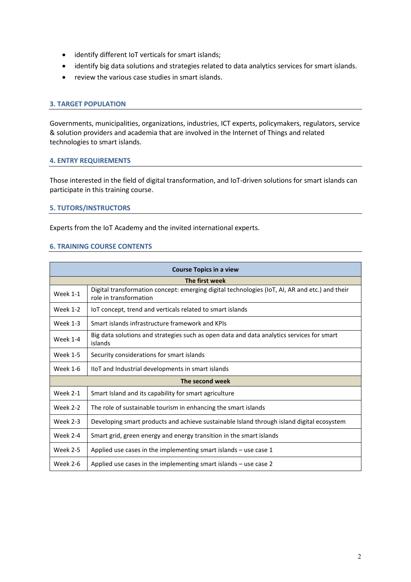- identify different IoT verticals for smart islands;
- identify big data solutions and strategies related to data analytics services for smart islands.
- review the various case studies in smart islands.

## **3. TARGET POPULATION**

Governments, municipalities, organizations, industries, ICT experts, policymakers, regulators, service & solution providers and academia that are involved in the Internet of Things and related technologies to smart islands.

#### **4. ENTRY REQUIREMENTS**

Those interested in the field of digital transformation, and IoT-driven solutions for smart islands can participate in this training course.

#### **5. TUTORS/INSTRUCTORS**

Experts from the IoT Academy and the invited international experts.

#### **6. TRAINING COURSE CONTENTS**

| <b>Course Topics in a view</b> |                                                                                                                          |  |
|--------------------------------|--------------------------------------------------------------------------------------------------------------------------|--|
| The first week                 |                                                                                                                          |  |
| <b>Week 1-1</b>                | Digital transformation concept: emerging digital technologies (IoT, AI, AR and etc.) and their<br>role in transformation |  |
| <b>Week 1-2</b>                | IoT concept, trend and verticals related to smart islands                                                                |  |
| <b>Week 1-3</b>                | Smart islands infrastructure framework and KPIs                                                                          |  |
| Week 1-4                       | Big data solutions and strategies such as open data and data analytics services for smart<br>islands                     |  |
| <b>Week 1-5</b>                | Security considerations for smart islands                                                                                |  |
| <b>Week 1-6</b>                | IIoT and Industrial developments in smart islands                                                                        |  |
| The second week                |                                                                                                                          |  |
| <b>Week 2-1</b>                | Smart Island and its capability for smart agriculture                                                                    |  |
| <b>Week 2-2</b>                | The role of sustainable tourism in enhancing the smart islands                                                           |  |
| <b>Week 2-3</b>                | Developing smart products and achieve sustainable Island through island digital ecosystem                                |  |
| Week 2-4                       | Smart grid, green energy and energy transition in the smart islands                                                      |  |
| <b>Week 2-5</b>                | Applied use cases in the implementing smart islands $-$ use case 1                                                       |  |
| <b>Week 2-6</b>                | Applied use cases in the implementing smart islands - use case 2                                                         |  |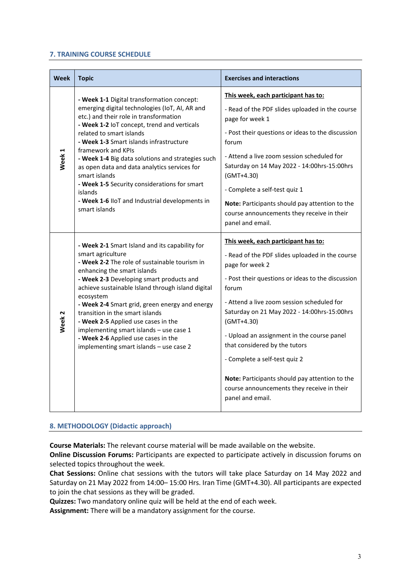## **7. TRAINING COURSE SCHEDULE**

| Week              | <b>Topic</b>                                                                                                                                                                                                                                                                                                                                                                                                                                                                                                                           | <b>Exercises and interactions</b>                                                                                                                                                                                                                                                                                                                                                                                                                                                                                        |
|-------------------|----------------------------------------------------------------------------------------------------------------------------------------------------------------------------------------------------------------------------------------------------------------------------------------------------------------------------------------------------------------------------------------------------------------------------------------------------------------------------------------------------------------------------------------|--------------------------------------------------------------------------------------------------------------------------------------------------------------------------------------------------------------------------------------------------------------------------------------------------------------------------------------------------------------------------------------------------------------------------------------------------------------------------------------------------------------------------|
| Week <sub>1</sub> | - Week 1-1 Digital transformation concept:<br>emerging digital technologies (IoT, AI, AR and<br>etc.) and their role in transformation<br>- Week 1-2 IoT concept, trend and verticals<br>related to smart islands<br>- Week 1-3 Smart islands infrastructure<br>framework and KPIs<br>- Week 1-4 Big data solutions and strategies such<br>as open data and data analytics services for<br>smart islands<br>- Week 1-5 Security considerations for smart<br>islands<br>- Week 1-6 IIoT and Industrial developments in<br>smart islands | This week, each participant has to:<br>- Read of the PDF slides uploaded in the course<br>page for week 1<br>- Post their questions or ideas to the discussion<br>forum<br>- Attend a live zoom session scheduled for<br>Saturday on 14 May 2022 - 14:00hrs-15:00hrs<br>$(GMT+4.30)$<br>- Complete a self-test quiz 1<br>Note: Participants should pay attention to the<br>course announcements they receive in their<br>panel and email.                                                                                |
| Week <sub>2</sub> | - Week 2-1 Smart Island and its capability for<br>smart agriculture<br>- Week 2-2 The role of sustainable tourism in<br>enhancing the smart islands<br>- Week 2-3 Developing smart products and<br>achieve sustainable Island through island digital<br>ecosystem<br>- Week 2-4 Smart grid, green energy and energy<br>transition in the smart islands<br>- Week 2-5 Applied use cases in the<br>implementing smart islands - use case 1<br>- Week 2-6 Applied use cases in the<br>implementing smart islands - use case 2             | This week, each participant has to:<br>- Read of the PDF slides uploaded in the course<br>page for week 2<br>- Post their questions or ideas to the discussion<br>forum<br>- Attend a live zoom session scheduled for<br>Saturday on 21 May 2022 - 14:00hrs-15:00hrs<br>$(GMT+4.30)$<br>- Upload an assignment in the course panel<br>that considered by the tutors<br>- Complete a self-test quiz 2<br>Note: Participants should pay attention to the<br>course announcements they receive in their<br>panel and email. |

# **8. METHODOLOGY (Didactic approach)**

**Course Materials:** The relevant course material will be made available on the website.

**Online Discussion Forums:** Participants are expected to participate actively in discussion forums on selected topics throughout the week.

**Chat Sessions:** Online chat sessions with the tutors will take place Saturday on 14 May 2022 and Saturday on 21 May 2022 from 14:00– 15:00 Hrs. Iran Time (GMT+4.30). All participants are expected to join the chat sessions as they will be graded.

**Quizzes:** Two mandatory online quiz will be held at the end of each week.

**Assignment:** There will be a mandatory assignment for the course.